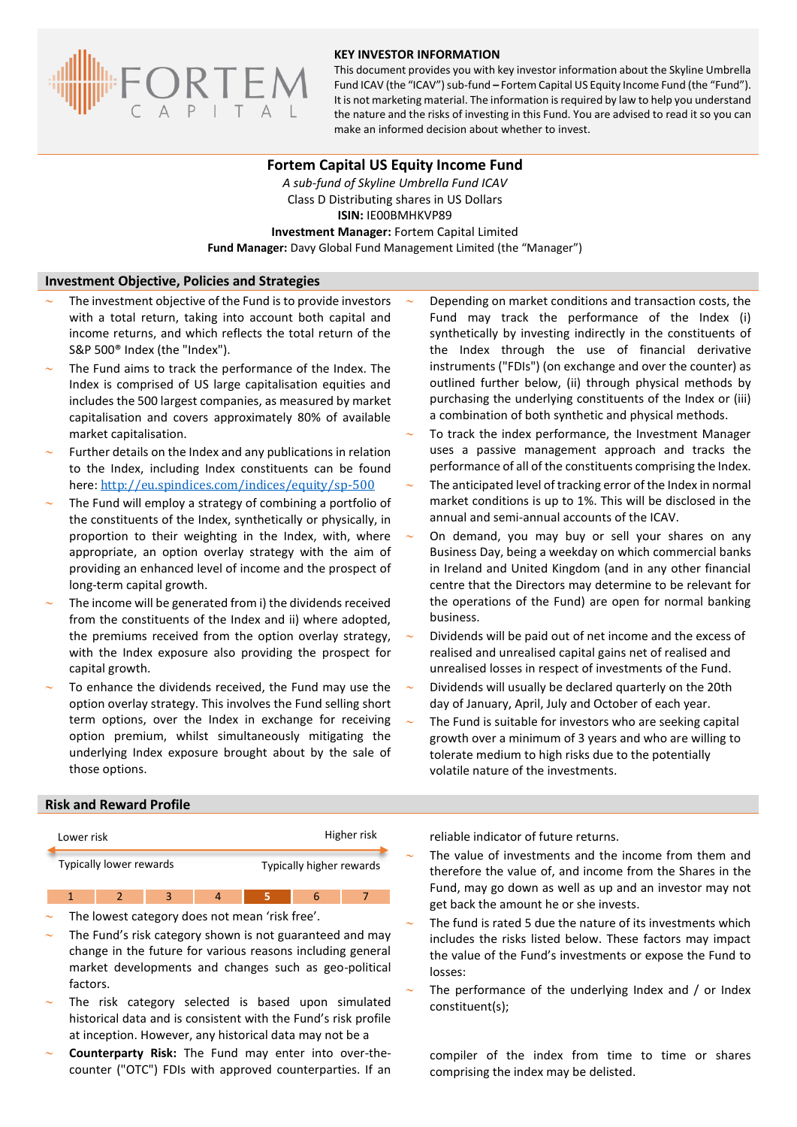

#### **KEY INVESTOR INFORMATION**

This document provides you with key investor information about the Skyline Umbrella Fund ICAV (the "ICAV") sub-fund **–** Fortem Capital US Equity Income Fund (the "Fund"). It is not marketing material. The information is required by law to help you understand the nature and the risks of investing in this Fund. You are advised to read it so you can make an informed decision about whether to invest.

## **Fortem Capital US Equity Income Fund**

*A sub-fund of Skyline Umbrella Fund ICAV* Class D Distributing shares in US Dollars **ISIN:** IE00BMHKVP89 **Investment Manager:** Fortem Capital Limited **Fund Manager:** Davy Global Fund Management Limited (the "Manager")

### **Investment Objective, Policies and Strategies**

- The investment objective of the Fund is to provide investors with a total return, taking into account both capital and income returns, and which reflects the total return of the S&P 500® Index (the "Index").
- The Fund aims to track the performance of the Index. The Index is comprised of US large capitalisation equities and includes the 500 largest companies, as measured by market capitalisation and covers approximately 80% of available market capitalisation.
- Further details on the Index and any publications in relation to the Index, including Index constituents can be found here: <http://eu.spindices.com/indices/equity/sp-500>
- The Fund will employ a strategy of combining a portfolio of the constituents of the Index, synthetically or physically, in proportion to their weighting in the Index, with, where appropriate, an option overlay strategy with the aim of providing an enhanced level of income and the prospect of long-term capital growth.
- The income will be generated from i) the dividends received from the constituents of the Index and ii) where adopted, the premiums received from the option overlay strategy, with the Index exposure also providing the prospect for capital growth.
- To enhance the dividends received, the Fund may use the option overlay strategy. This involves the Fund selling short term options, over the Index in exchange for receiving option premium, whilst simultaneously mitigating the underlying Index exposure brought about by the sale of those options.
- Depending on market conditions and transaction costs, the Fund may track the performance of the Index (i) synthetically by investing indirectly in the constituents of the Index through the use of financial derivative instruments ("FDIs") (on exchange and over the counter) as outlined further below, (ii) through physical methods by purchasing the underlying constituents of the Index or (iii) a combination of both synthetic and physical methods.
- To track the index performance, the Investment Manager uses a passive management approach and tracks the performance of all of the constituents comprising the Index.
- The anticipated level of tracking error of the Index in normal market conditions is up to 1%. This will be disclosed in the annual and semi-annual accounts of the ICAV.
- On demand, you may buy or sell your shares on any Business Day, being a weekday on which commercial banks in Ireland and United Kingdom (and in any other financial centre that the Directors may determine to be relevant for the operations of the Fund) are open for normal banking business.
- Dividends will be paid out of net income and the excess of realised and unrealised capital gains net of realised and unrealised losses in respect of investments of the Fund.
- Dividends will usually be declared quarterly on the 20th day of January, April, July and October of each year.
- The Fund is suitable for investors who are seeking capital growth over a minimum of 3 years and who are willing to tolerate medium to high risks due to the potentially volatile nature of the investments.

#### **Risk and Reward Profile**

| Lower risk              |  |  |          | Higher risk              |  |  |                      | reliable i            |
|-------------------------|--|--|----------|--------------------------|--|--|----------------------|-----------------------|
| Typically lower rewards |  |  |          | Typically higher rewards |  |  |                      | The valu<br>therefore |
|                         |  |  | $\Delta$ |                          |  |  | Fund, ma<br>ant hack |                       |

- The lowest category does not mean 'risk free'.
- The Fund's risk category shown is not guaranteed and may change in the future for various reasons including general market developments and changes such as geo-political factors.
- The risk category selected is based upon simulated historical data and is consistent with the Fund's risk profile at inception. However, any historical data may not be a
- **Counterparty Risk:** The Fund may enter into over-thecounter ("OTC") FDIs with approved counterparties. If an

ndicator of future returns.

- e of investments and the income from them and e the value of, and income from the Shares in the ay go down as well as up and an investor may not get back the amount he or she invests.
- The fund is rated 5 due the nature of its investments which includes the risks listed below. These factors may impact the value of the Fund's investments or expose the Fund to losses:
- The performance of the underlying Index and / or Index constituent(s);

compiler of the index from time to time or shares comprising the index may be delisted.